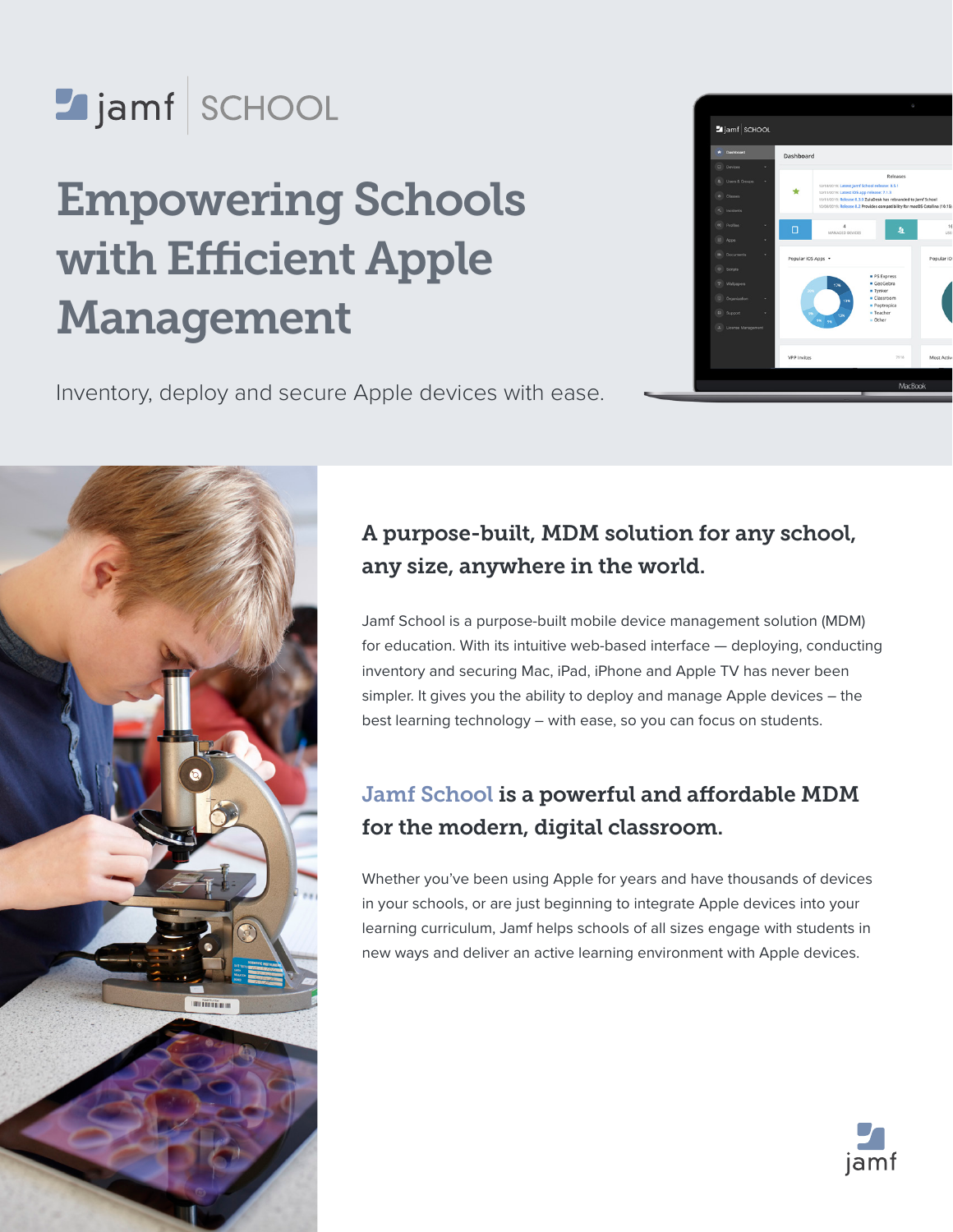

# Empowering Schools with Efficient Apple Management

Inventory, deploy and secure Apple devices with ease.





## A purpose-built, MDM solution for any school, any size, anywhere in the world.

Jamf School is a purpose-built mobile device management solution (MDM) for education. With its intuitive web-based interface — deploying, conducting inventory and securing Mac, iPad, iPhone and Apple TV has never been simpler. It gives you the ability to deploy and manage Apple devices – the best learning technology – with ease, so you can focus on students.

## Jamf School is a powerful and affordable MDM for the modern, digital classroom.

Whether you've been using Apple for years and have thousands of devices in your schools, or are just beginning to integrate Apple devices into your learning curriculum, Jamf helps schools of all sizes engage with students in new ways and deliver an active learning environment with Apple devices.